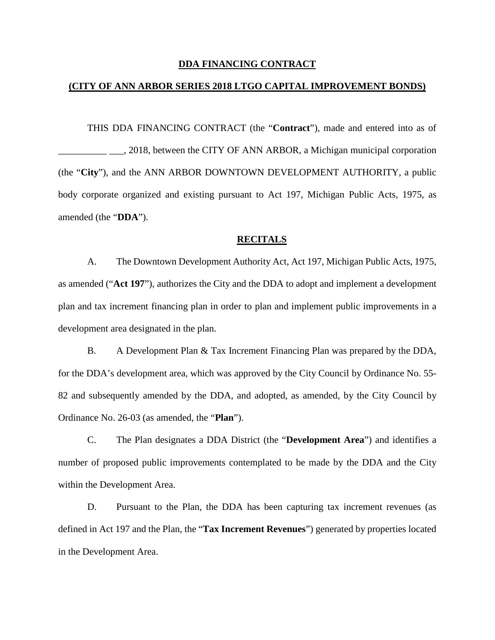### **DDA FINANCING CONTRACT**

### **(CITY OF ANN ARBOR SERIES 2018 LTGO CAPITAL IMPROVEMENT BONDS)**

THIS DDA FINANCING CONTRACT (the "**Contract**"), made and entered into as of \_\_\_\_\_\_\_\_\_\_ \_\_\_, 2018, between the CITY OF ANN ARBOR, a Michigan municipal corporation (the "**City**"), and the ANN ARBOR DOWNTOWN DEVELOPMENT AUTHORITY, a public body corporate organized and existing pursuant to Act 197, Michigan Public Acts, 1975, as amended (the "**DDA**").

### **RECITALS**

A. The Downtown Development Authority Act, Act 197, Michigan Public Acts, 1975, as amended ("**Act 197**"), authorizes the City and the DDA to adopt and implement a development plan and tax increment financing plan in order to plan and implement public improvements in a development area designated in the plan.

B. A Development Plan & Tax Increment Financing Plan was prepared by the DDA, for the DDA's development area, which was approved by the City Council by Ordinance No. 55- 82 and subsequently amended by the DDA, and adopted, as amended, by the City Council by Ordinance No. 26-03 (as amended, the "**Plan**").

C. The Plan designates a DDA District (the "**Development Area**") and identifies a number of proposed public improvements contemplated to be made by the DDA and the City within the Development Area.

D. Pursuant to the Plan, the DDA has been capturing tax increment revenues (as defined in Act 197 and the Plan, the "**Tax Increment Revenues**") generated by properties located in the Development Area.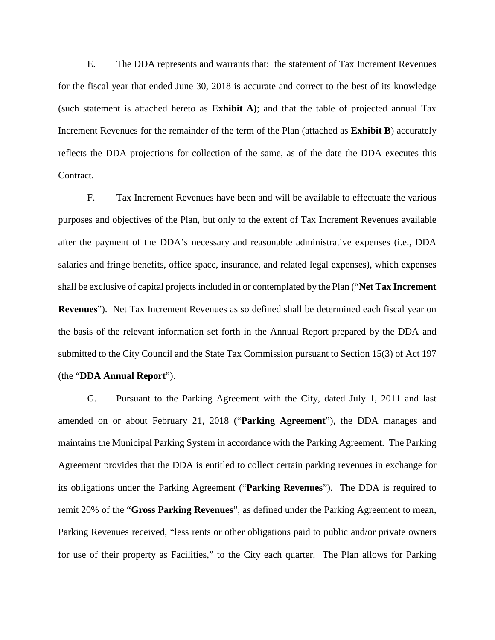E. The DDA represents and warrants that: the statement of Tax Increment Revenues for the fiscal year that ended June 30, 2018 is accurate and correct to the best of its knowledge (such statement is attached hereto as **Exhibit A)**; and that the table of projected annual Tax Increment Revenues for the remainder of the term of the Plan (attached as **Exhibit B**) accurately reflects the DDA projections for collection of the same, as of the date the DDA executes this Contract.

F. Tax Increment Revenues have been and will be available to effectuate the various purposes and objectives of the Plan, but only to the extent of Tax Increment Revenues available after the payment of the DDA's necessary and reasonable administrative expenses (i.e., DDA salaries and fringe benefits, office space, insurance, and related legal expenses), which expenses shall be exclusive of capital projects included in or contemplated by the Plan ("**Net Tax Increment Revenues**"). Net Tax Increment Revenues as so defined shall be determined each fiscal year on the basis of the relevant information set forth in the Annual Report prepared by the DDA and submitted to the City Council and the State Tax Commission pursuant to Section 15(3) of Act 197 (the "**DDA Annual Report**").

G. Pursuant to the Parking Agreement with the City, dated July 1, 2011 and last amended on or about February 21, 2018 ("**Parking Agreement**"), the DDA manages and maintains the Municipal Parking System in accordance with the Parking Agreement. The Parking Agreement provides that the DDA is entitled to collect certain parking revenues in exchange for its obligations under the Parking Agreement ("**Parking Revenues**"). The DDA is required to remit 20% of the "**Gross Parking Revenues**", as defined under the Parking Agreement to mean, Parking Revenues received, "less rents or other obligations paid to public and/or private owners for use of their property as Facilities," to the City each quarter. The Plan allows for Parking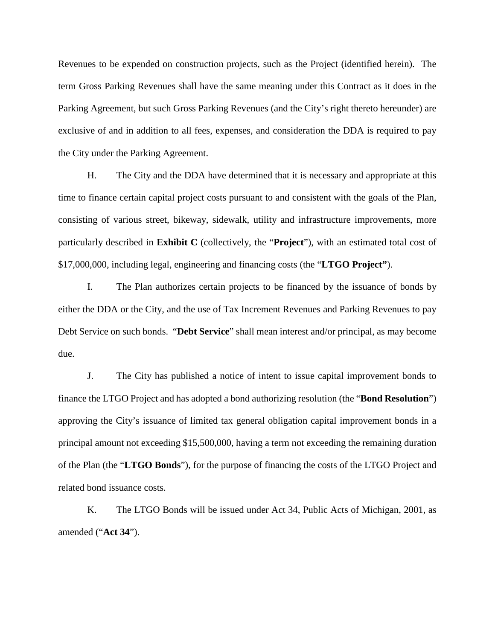Revenues to be expended on construction projects, such as the Project (identified herein). The term Gross Parking Revenues shall have the same meaning under this Contract as it does in the Parking Agreement, but such Gross Parking Revenues (and the City's right thereto hereunder) are exclusive of and in addition to all fees, expenses, and consideration the DDA is required to pay the City under the Parking Agreement.

H. The City and the DDA have determined that it is necessary and appropriate at this time to finance certain capital project costs pursuant to and consistent with the goals of the Plan, consisting of various street, bikeway, sidewalk, utility and infrastructure improvements, more particularly described in **Exhibit C** (collectively, the "**Project**"), with an estimated total cost of \$17,000,000, including legal, engineering and financing costs (the "**LTGO Project"**).

I. The Plan authorizes certain projects to be financed by the issuance of bonds by either the DDA or the City, and the use of Tax Increment Revenues and Parking Revenues to pay Debt Service on such bonds. "**Debt Service**" shall mean interest and/or principal, as may become due.

J. The City has published a notice of intent to issue capital improvement bonds to finance the LTGO Project and has adopted a bond authorizing resolution (the "**Bond Resolution**") approving the City's issuance of limited tax general obligation capital improvement bonds in a principal amount not exceeding \$15,500,000, having a term not exceeding the remaining duration of the Plan (the "**LTGO Bonds**"), for the purpose of financing the costs of the LTGO Project and related bond issuance costs.

K. The LTGO Bonds will be issued under Act 34, Public Acts of Michigan, 2001, as amended ("**Act 34**").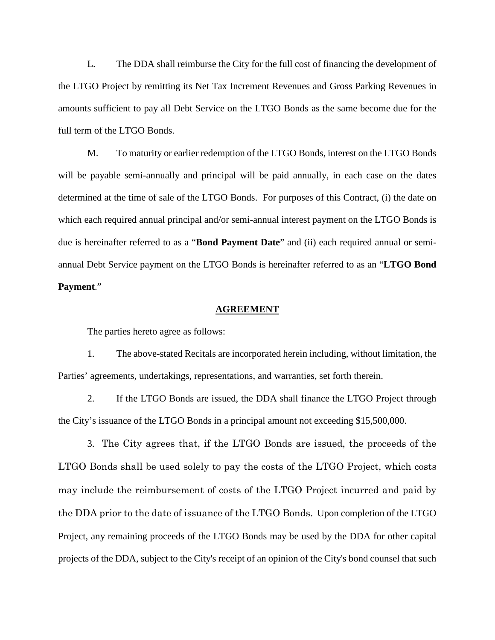L. The DDA shall reimburse the City for the full cost of financing the development of the LTGO Project by remitting its Net Tax Increment Revenues and Gross Parking Revenues in amounts sufficient to pay all Debt Service on the LTGO Bonds as the same become due for the full term of the LTGO Bonds.

M. To maturity or earlier redemption of the LTGO Bonds, interest on the LTGO Bonds will be payable semi-annually and principal will be paid annually, in each case on the dates determined at the time of sale of the LTGO Bonds. For purposes of this Contract, (i) the date on which each required annual principal and/or semi-annual interest payment on the LTGO Bonds is due is hereinafter referred to as a "**Bond Payment Date**" and (ii) each required annual or semiannual Debt Service payment on the LTGO Bonds is hereinafter referred to as an "**LTGO Bond Payment**."

#### **AGREEMENT**

The parties hereto agree as follows:

1. The above-stated Recitals are incorporated herein including, without limitation, the Parties' agreements, undertakings, representations, and warranties, set forth therein.

2. If the LTGO Bonds are issued, the DDA shall finance the LTGO Project through the City's issuance of the LTGO Bonds in a principal amount not exceeding \$15,500,000.

3. The City agrees that, if the LTGO Bonds are issued, the proceeds of the LTGO Bonds shall be used solely to pay the costs of the LTGO Project, which costs may include the reimbursement of costs of the LTGO Project incurred and paid by the DDA prior to the date of issuance of the LTGO Bonds. Upon completion of the LTGO Project, any remaining proceeds of the LTGO Bonds may be used by the DDA for other capital projects of the DDA, subject to the City's receipt of an opinion of the City's bond counsel that such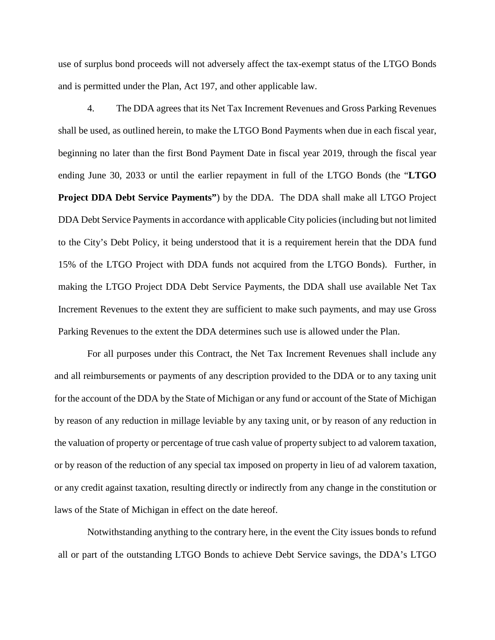use of surplus bond proceeds will not adversely affect the tax-exempt status of the LTGO Bonds and is permitted under the Plan, Act 197, and other applicable law.

4. The DDA agrees that its Net Tax Increment Revenues and Gross Parking Revenues shall be used, as outlined herein, to make the LTGO Bond Payments when due in each fiscal year, beginning no later than the first Bond Payment Date in fiscal year 2019, through the fiscal year ending June 30, 2033 or until the earlier repayment in full of the LTGO Bonds (the "**LTGO Project DDA Debt Service Payments"**) by the DDA. The DDA shall make all LTGO Project DDA Debt Service Payments in accordance with applicable City policies (including but not limited to the City's Debt Policy, it being understood that it is a requirement herein that the DDA fund 15% of the LTGO Project with DDA funds not acquired from the LTGO Bonds). Further, in making the LTGO Project DDA Debt Service Payments, the DDA shall use available Net Tax Increment Revenues to the extent they are sufficient to make such payments, and may use Gross Parking Revenues to the extent the DDA determines such use is allowed under the Plan.

For all purposes under this Contract, the Net Tax Increment Revenues shall include any and all reimbursements or payments of any description provided to the DDA or to any taxing unit for the account of the DDA by the State of Michigan or any fund or account of the State of Michigan by reason of any reduction in millage leviable by any taxing unit, or by reason of any reduction in the valuation of property or percentage of true cash value of property subject to ad valorem taxation, or by reason of the reduction of any special tax imposed on property in lieu of ad valorem taxation, or any credit against taxation, resulting directly or indirectly from any change in the constitution or laws of the State of Michigan in effect on the date hereof.

Notwithstanding anything to the contrary here, in the event the City issues bonds to refund all or part of the outstanding LTGO Bonds to achieve Debt Service savings, the DDA's LTGO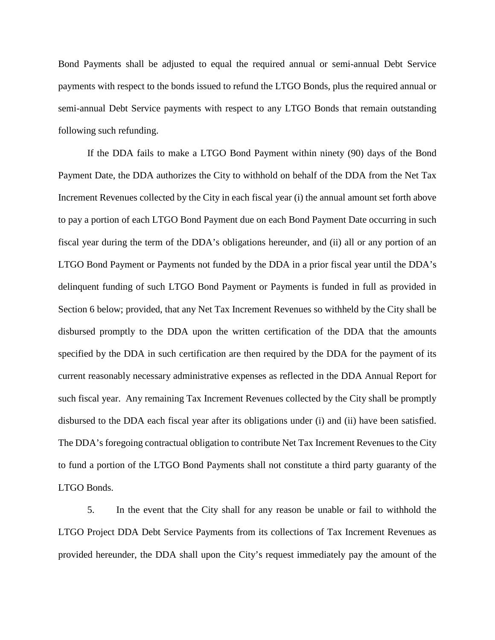Bond Payments shall be adjusted to equal the required annual or semi-annual Debt Service payments with respect to the bonds issued to refund the LTGO Bonds, plus the required annual or semi-annual Debt Service payments with respect to any LTGO Bonds that remain outstanding following such refunding.

If the DDA fails to make a LTGO Bond Payment within ninety (90) days of the Bond Payment Date, the DDA authorizes the City to withhold on behalf of the DDA from the Net Tax Increment Revenues collected by the City in each fiscal year (i) the annual amount set forth above to pay a portion of each LTGO Bond Payment due on each Bond Payment Date occurring in such fiscal year during the term of the DDA's obligations hereunder, and (ii) all or any portion of an LTGO Bond Payment or Payments not funded by the DDA in a prior fiscal year until the DDA's delinquent funding of such LTGO Bond Payment or Payments is funded in full as provided in Section 6 below; provided, that any Net Tax Increment Revenues so withheld by the City shall be disbursed promptly to the DDA upon the written certification of the DDA that the amounts specified by the DDA in such certification are then required by the DDA for the payment of its current reasonably necessary administrative expenses as reflected in the DDA Annual Report for such fiscal year. Any remaining Tax Increment Revenues collected by the City shall be promptly disbursed to the DDA each fiscal year after its obligations under (i) and (ii) have been satisfied. The DDA's foregoing contractual obligation to contribute Net Tax Increment Revenues to the City to fund a portion of the LTGO Bond Payments shall not constitute a third party guaranty of the LTGO Bonds.

5. In the event that the City shall for any reason be unable or fail to withhold the LTGO Project DDA Debt Service Payments from its collections of Tax Increment Revenues as provided hereunder, the DDA shall upon the City's request immediately pay the amount of the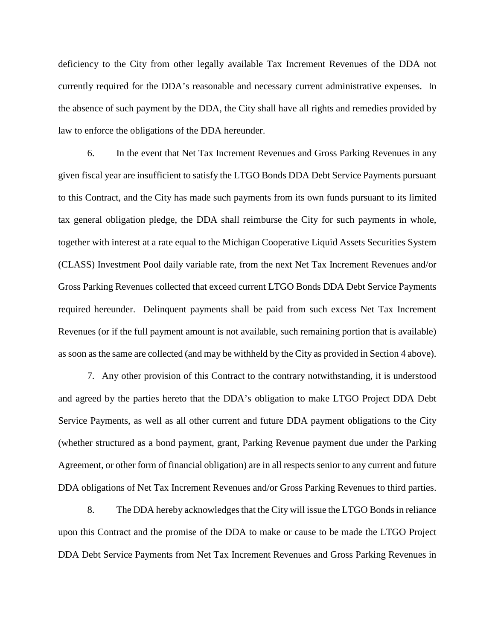deficiency to the City from other legally available Tax Increment Revenues of the DDA not currently required for the DDA's reasonable and necessary current administrative expenses. In the absence of such payment by the DDA, the City shall have all rights and remedies provided by law to enforce the obligations of the DDA hereunder.

6. In the event that Net Tax Increment Revenues and Gross Parking Revenues in any given fiscal year are insufficient to satisfy the LTGO Bonds DDA Debt Service Payments pursuant to this Contract, and the City has made such payments from its own funds pursuant to its limited tax general obligation pledge, the DDA shall reimburse the City for such payments in whole, together with interest at a rate equal to the Michigan Cooperative Liquid Assets Securities System (CLASS) Investment Pool daily variable rate, from the next Net Tax Increment Revenues and/or Gross Parking Revenues collected that exceed current LTGO Bonds DDA Debt Service Payments required hereunder. Delinquent payments shall be paid from such excess Net Tax Increment Revenues (or if the full payment amount is not available, such remaining portion that is available) as soon as the same are collected (and may be withheld by the City as provided in Section 4 above).

7. Any other provision of this Contract to the contrary notwithstanding, it is understood and agreed by the parties hereto that the DDA's obligation to make LTGO Project DDA Debt Service Payments, as well as all other current and future DDA payment obligations to the City (whether structured as a bond payment, grant, Parking Revenue payment due under the Parking Agreement, or other form of financial obligation) are in all respects senior to any current and future DDA obligations of Net Tax Increment Revenues and/or Gross Parking Revenues to third parties.

8. The DDA hereby acknowledges that the City will issue the LTGO Bonds in reliance upon this Contract and the promise of the DDA to make or cause to be made the LTGO Project DDA Debt Service Payments from Net Tax Increment Revenues and Gross Parking Revenues in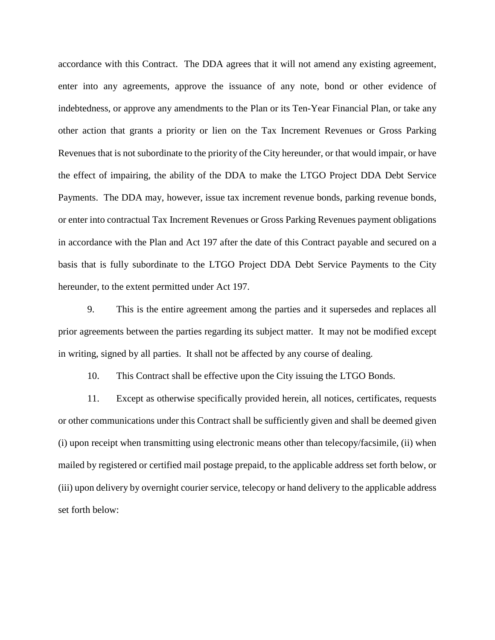accordance with this Contract. The DDA agrees that it will not amend any existing agreement, enter into any agreements, approve the issuance of any note, bond or other evidence of indebtedness, or approve any amendments to the Plan or its Ten-Year Financial Plan, or take any other action that grants a priority or lien on the Tax Increment Revenues or Gross Parking Revenues that is not subordinate to the priority of the City hereunder, or that would impair, or have the effect of impairing, the ability of the DDA to make the LTGO Project DDA Debt Service Payments. The DDA may, however, issue tax increment revenue bonds, parking revenue bonds, or enter into contractual Tax Increment Revenues or Gross Parking Revenues payment obligations in accordance with the Plan and Act 197 after the date of this Contract payable and secured on a basis that is fully subordinate to the LTGO Project DDA Debt Service Payments to the City hereunder, to the extent permitted under Act 197.

9. This is the entire agreement among the parties and it supersedes and replaces all prior agreements between the parties regarding its subject matter. It may not be modified except in writing, signed by all parties. It shall not be affected by any course of dealing.

10. This Contract shall be effective upon the City issuing the LTGO Bonds.

11. Except as otherwise specifically provided herein, all notices, certificates, requests or other communications under this Contract shall be sufficiently given and shall be deemed given (i) upon receipt when transmitting using electronic means other than telecopy/facsimile, (ii) when mailed by registered or certified mail postage prepaid, to the applicable address set forth below, or (iii) upon delivery by overnight courier service, telecopy or hand delivery to the applicable address set forth below: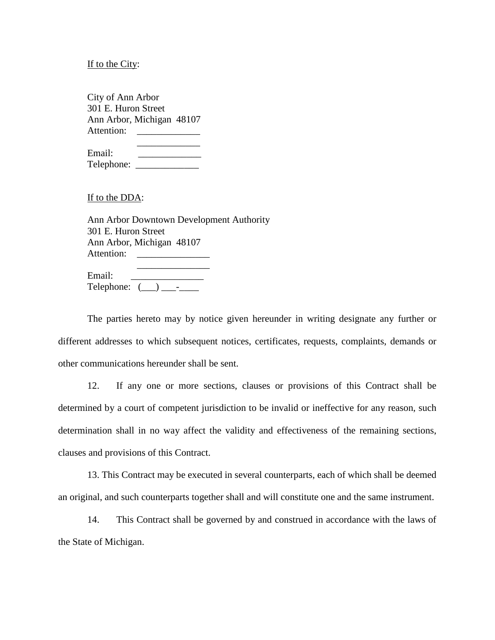If to the City:

City of Ann Arbor 301 E. Huron Street Ann Arbor, Michigan 48107 Attention: \_\_\_\_\_\_\_\_\_\_\_\_\_ \_\_\_\_\_\_\_\_\_\_\_\_\_

Email: \_\_\_\_\_\_\_\_\_\_\_\_\_ Telephone: \_\_\_\_\_\_\_\_\_\_\_\_\_

If to the DDA:

Ann Arbor Downtown Development Authority 301 E. Huron Street Ann Arbor, Michigan 48107 Attention: \_\_\_\_\_\_\_\_\_\_\_\_\_\_\_

| Email:     |  |  |
|------------|--|--|
| Telephone: |  |  |

The parties hereto may by notice given hereunder in writing designate any further or different addresses to which subsequent notices, certificates, requests, complaints, demands or other communications hereunder shall be sent.

12. If any one or more sections, clauses or provisions of this Contract shall be determined by a court of competent jurisdiction to be invalid or ineffective for any reason, such determination shall in no way affect the validity and effectiveness of the remaining sections, clauses and provisions of this Contract.

13. This Contract may be executed in several counterparts, each of which shall be deemed an original, and such counterparts together shall and will constitute one and the same instrument.

14. This Contract shall be governed by and construed in accordance with the laws of the State of Michigan.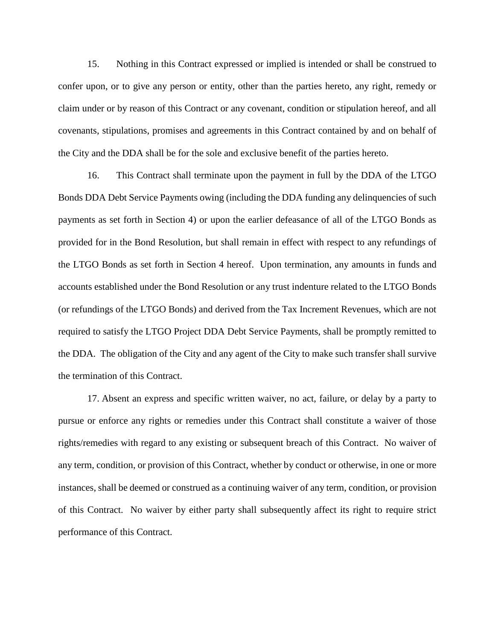15. Nothing in this Contract expressed or implied is intended or shall be construed to confer upon, or to give any person or entity, other than the parties hereto, any right, remedy or claim under or by reason of this Contract or any covenant, condition or stipulation hereof, and all covenants, stipulations, promises and agreements in this Contract contained by and on behalf of the City and the DDA shall be for the sole and exclusive benefit of the parties hereto.

16. This Contract shall terminate upon the payment in full by the DDA of the LTGO Bonds DDA Debt Service Payments owing (including the DDA funding any delinquencies of such payments as set forth in Section 4) or upon the earlier defeasance of all of the LTGO Bonds as provided for in the Bond Resolution, but shall remain in effect with respect to any refundings of the LTGO Bonds as set forth in Section 4 hereof. Upon termination, any amounts in funds and accounts established under the Bond Resolution or any trust indenture related to the LTGO Bonds (or refundings of the LTGO Bonds) and derived from the Tax Increment Revenues, which are not required to satisfy the LTGO Project DDA Debt Service Payments, shall be promptly remitted to the DDA. The obligation of the City and any agent of the City to make such transfer shall survive the termination of this Contract.

17. Absent an express and specific written waiver, no act, failure, or delay by a party to pursue or enforce any rights or remedies under this Contract shall constitute a waiver of those rights/remedies with regard to any existing or subsequent breach of this Contract. No waiver of any term, condition, or provision of this Contract, whether by conduct or otherwise, in one or more instances, shall be deemed or construed as a continuing waiver of any term, condition, or provision of this Contract. No waiver by either party shall subsequently affect its right to require strict performance of this Contract.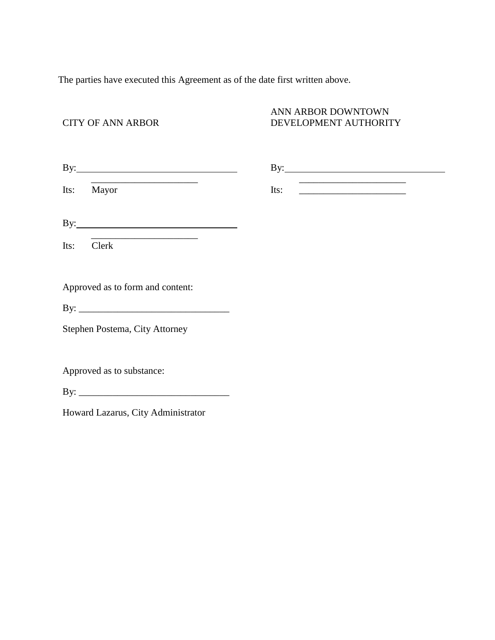The parties have executed this Agreement as of the date first written above.

## CITY OF ANN ARBOR

## ANN ARBOR DOWNTOWN DEVELOPMENT AUTHORITY

| $\mathbf{By:}\_\_\_\_\_\_\_\_$     |                                                                                                   |
|------------------------------------|---------------------------------------------------------------------------------------------------|
| Mayor<br>Its:                      | the control of the control of the control of the control of the control of the control of<br>Its: |
|                                    |                                                                                                   |
| Clerk<br>Its:                      |                                                                                                   |
| Approved as to form and content:   |                                                                                                   |
|                                    |                                                                                                   |
| Stephen Postema, City Attorney     |                                                                                                   |
|                                    |                                                                                                   |
| Approved as to substance:          |                                                                                                   |
|                                    |                                                                                                   |
| Howard Lazarus, City Administrator |                                                                                                   |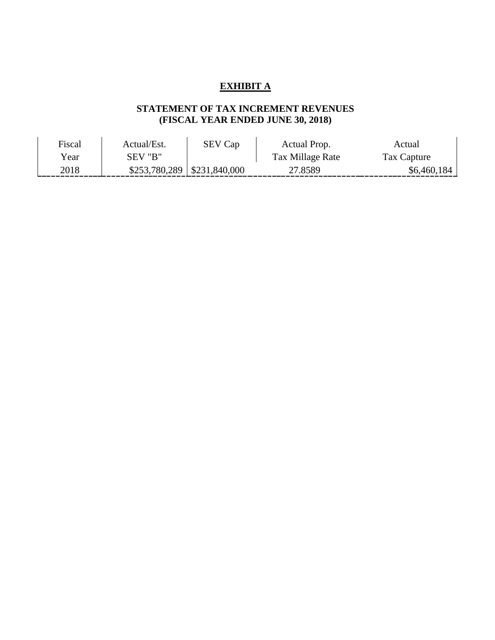# **EXHIBIT A**

# **STATEMENT OF TAX INCREMENT REVENUES (FISCAL YEAR ENDED JUNE 30, 2018)**

| Fiscal | Actual/Est.                      | <b>SEV Cap</b> | Actual Prop.     | Actual      |
|--------|----------------------------------|----------------|------------------|-------------|
| Year   | SEV "B"                          |                | Tax Millage Rate | Tax Capture |
| 2018   | $$253,780,289 \mid $231,840,000$ |                | 27.8589          | \$6,460,184 |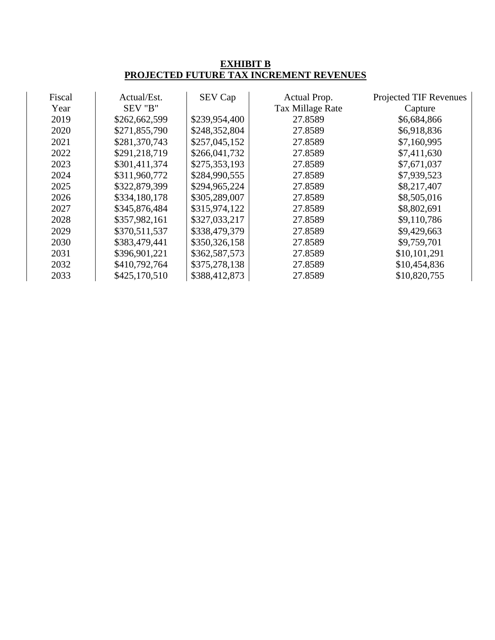## **EXHIBIT B PROJECTED FUTURE TAX INCREMENT REVENUES**

| Fiscal | Actual/Est.   | SEV Cap       | Actual Prop.     | Projected TIF Revenues |
|--------|---------------|---------------|------------------|------------------------|
| Year   | SEV "B"       |               | Tax Millage Rate | Capture                |
| 2019   | \$262,662,599 | \$239,954,400 | 27.8589          | \$6,684,866            |
| 2020   | \$271,855,790 | \$248,352,804 | 27.8589          | \$6,918,836            |
| 2021   | \$281,370,743 | \$257,045,152 | 27.8589          | \$7,160,995            |
| 2022   | \$291,218,719 | \$266,041,732 | 27.8589          | \$7,411,630            |
| 2023   | \$301,411,374 | \$275,353,193 | 27.8589          | \$7,671,037            |
| 2024   | \$311,960,772 | \$284,990,555 | 27.8589          | \$7,939,523            |
| 2025   | \$322,879,399 | \$294,965,224 | 27.8589          | \$8,217,407            |
| 2026   | \$334,180,178 | \$305,289,007 | 27.8589          | \$8,505,016            |
| 2027   | \$345,876,484 | \$315,974,122 | 27.8589          | \$8,802,691            |
| 2028   | \$357,982,161 | \$327,033,217 | 27.8589          | \$9,110,786            |
| 2029   | \$370,511,537 | \$338,479,379 | 27.8589          | \$9,429,663            |
| 2030   | \$383,479,441 | \$350,326,158 | 27.8589          | \$9,759,701            |
| 2031   | \$396,901,221 | \$362,587,573 | 27.8589          | \$10,101,291           |
| 2032   | \$410,792,764 | \$375,278,138 | 27.8589          | \$10,454,836           |
| 2033   | \$425,170,510 | \$388,412,873 | 27.8589          | \$10,820,755           |